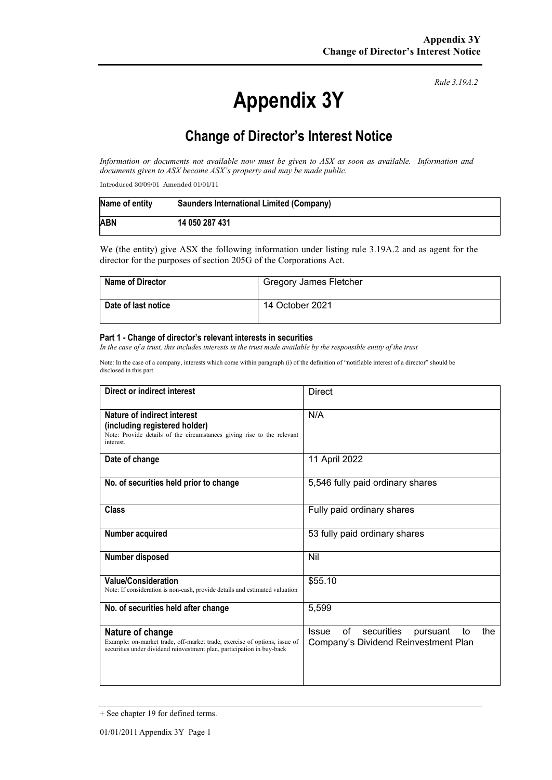# **Appendix 3Y**

*Rule 3.19A.2*

# **Change of Director's Interest Notice**

*Information or documents not available now must be given to ASX as soon as available. Information and documents given to ASX become ASX's property and may be made public.*

Introduced 30/09/01 Amended 01/01/11

| Name of entity | Saunders International Limited (Company) |
|----------------|------------------------------------------|
| <b>ABN</b>     | 14 050 287 431                           |

We (the entity) give ASX the following information under listing rule 3.19A.2 and as agent for the director for the purposes of section 205G of the Corporations Act.

| <b>Name of Director</b> | <b>Gregory James Fletcher</b> |
|-------------------------|-------------------------------|
| Date of last notice     | 14 October 2021               |

#### **Part 1 - Change of director's relevant interests in securities**

*In the case of a trust, this includes interests in the trust made available by the responsible entity of the trust*

Note: In the case of a company, interests which come within paragraph (i) of the definition of "notifiable interest of a director" should be disclosed in this part.

| Direct or indirect interest                                                                                                                                             | <b>Direct</b>                                                                                     |  |
|-------------------------------------------------------------------------------------------------------------------------------------------------------------------------|---------------------------------------------------------------------------------------------------|--|
| Nature of indirect interest<br>(including registered holder)<br>Note: Provide details of the circumstances giving rise to the relevant<br>interest.                     | N/A                                                                                               |  |
| Date of change                                                                                                                                                          | 11 April 2022                                                                                     |  |
| No. of securities held prior to change                                                                                                                                  | 5,546 fully paid ordinary shares                                                                  |  |
| Class                                                                                                                                                                   | Fully paid ordinary shares                                                                        |  |
| Number acquired                                                                                                                                                         | 53 fully paid ordinary shares                                                                     |  |
| Number disposed                                                                                                                                                         | Nil                                                                                               |  |
| <b>Value/Consideration</b><br>Note: If consideration is non-cash, provide details and estimated valuation                                                               | \$55.10                                                                                           |  |
| No. of securities held after change                                                                                                                                     | 5,599                                                                                             |  |
| Nature of change<br>Example: on-market trade, off-market trade, exercise of options, issue of<br>securities under dividend reinvestment plan, participation in buy-back | securities<br>οf<br>the<br><b>Issue</b><br>pursuant<br>to<br>Company's Dividend Reinvestment Plan |  |

<sup>+</sup> See chapter 19 for defined terms.